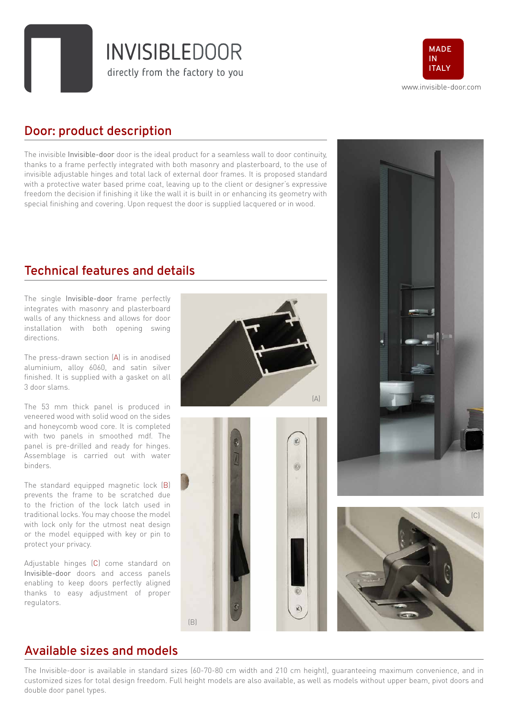**INVISIBLEDOOR** directly from the factory to you



#### **Door: product description**

The invisible Invisible-door door is the ideal product for a seamless wall to door continuity, thanks to a frame perfectly integrated with both masonry and plasterboard, to the use of invisible adjustable hinges and total lack of external door frames. It is proposed standard with a protective water based prime coat, leaving up to the client or designer's expressive freedom the decision if finishing it like the wall it is built in or enhancing its geometry with special finishing and covering. Upon request the door is supplied lacquered or in wood.

#### **Technical features and details**

The single Invisible-door frame perfectly integrates with masonry and plasterboard walls of any thickness and allows for door installation with both opening swing directions.

The press-drawn section (A) is in anodised aluminium, alloy 6060, and satin silver finished. It is supplied with a gasket on all 3 door slams.

The 53 mm thick panel is produced in veneered wood with solid wood on the sides and honeycomb wood core. It is completed with two panels in smoothed mdf. The panel is pre-drilled and ready for hinges. Assemblage is carried out with water binders.

The standard equipped magnetic lock (B) prevents the frame to be scratched due to the friction of the lock latch used in traditional locks. You may choose the model with lock only for the utmost neat design or the model equipped with key or pin to protect your privacy.

Adjustable hinges (C) come standard on Invisible-door doors and access panels enabling to keep doors perfectly aligned thanks to easy adjustment of proper regulators.









#### **Available sizes and models**

The Invisible-door is available in standard sizes (60-70-80 cm width and 210 cm height), guaranteeing maximum convenience, and in customized sizes for total design freedom. Full height models are also available, as well as models without upper beam, pivot doors and double door panel types.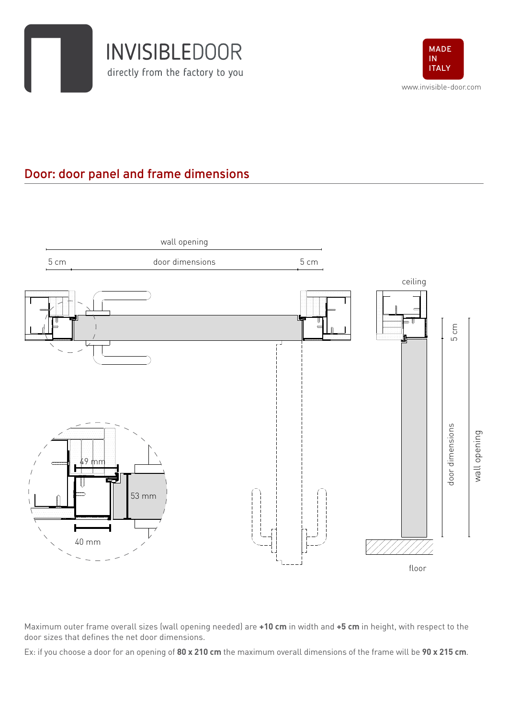



# **Door: door panel and frame dimensions**



Maximum outer frame overall sizes (wall opening needed) are **+10 cm** in width and **+5 cm** in height, with respect to the door sizes that defines the net door dimensions.

Ex: if you choose a door for an opening of **80 x 210 cm** the maximum overall dimensions of the frame will be **90 x 215 cm**.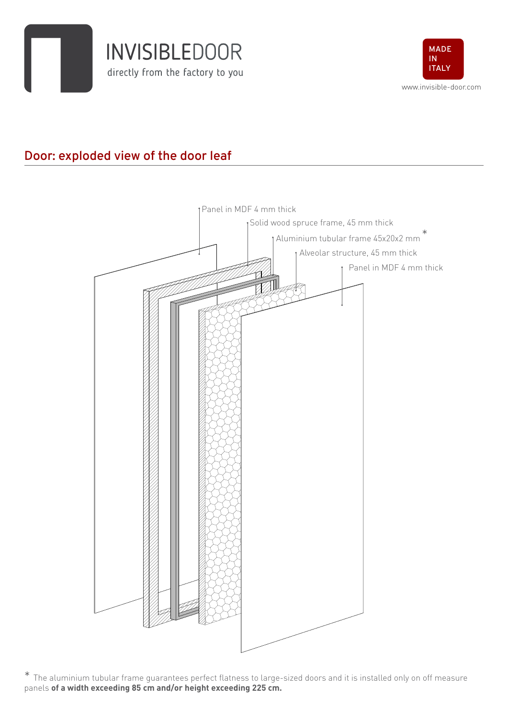



# **Door: exploded view of the door leaf**



\* The aluminium tubular frame guarantees perfect flatness to large-sized doors and it is installed only on off measure panels **of a width exceeding 85 cm and/or height exceeding 225 cm.**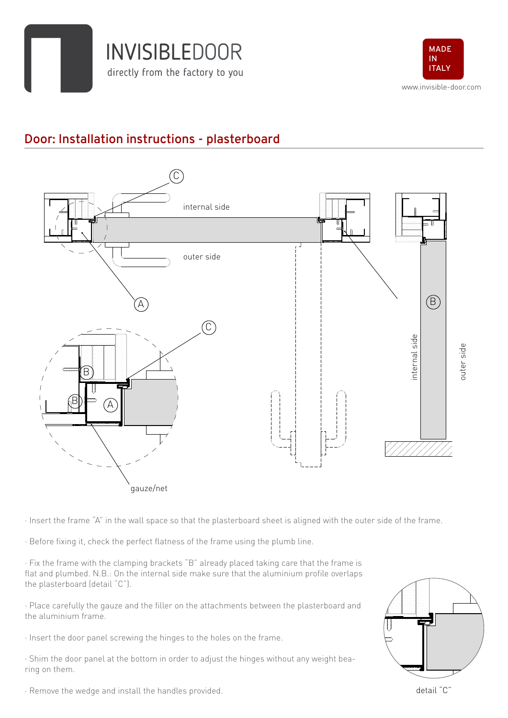



# **Door: Installation instructions - plasterboard**



· Insert the frame "A" in the wall space so that the plasterboard sheet is aligned with the outer side of the frame.

- · Before fixing it, check the perfect flatness of the frame using the plumb line.
- · Fix the frame with the clamping brackets "B" already placed taking care that the frame is flat and plumbed. N.B.: On the internal side make sure that the aluminium profile overlaps the plasterboard (detail "C").
- · Place carefully the gauze and the filler on the attachments between the plasterboard and the aluminium frame.
- · Insert the door panel screwing the hinges to the holes on the frame.
- · Shim the door panel at the bottom in order to adjust the hinges without any weight bearing on them.



· Remove the wedge and install the handles provided.